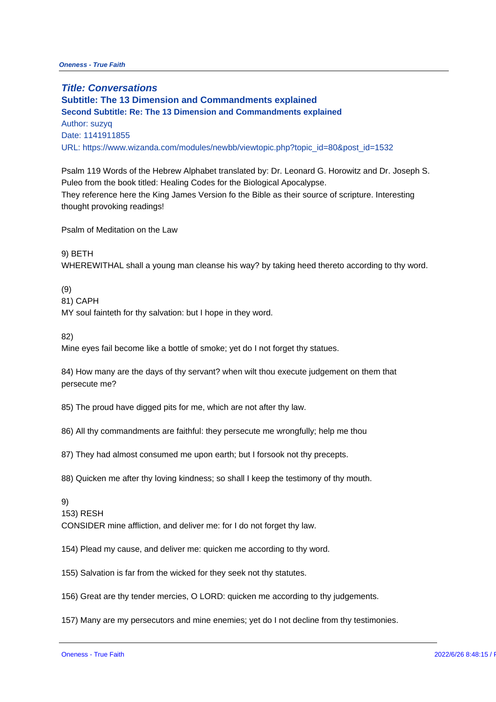**Title: Conversations Subtitle: The 13 Dimension and Commandments explained Second Subtitle: Re: The 13 Dimension and Commandments explained** Author: suzyq Date: 1141911855 URL: https://www.wizanda.com/modules/newbb/viewtopic.php?topic\_id=80&p Psalm 119 Words of the Hebrew Alphabet translated by: Dr. Leonard G. Hor Puleo from the book titled: Healing Codes for the Biological Apocalypse. They reference here the King James Version fo the Bible as their source of thought provoking readings! Psalm of Meditation on the Law 9) BETH WHEREWITHAL shall a young man cleanse his way? by taking heed thereto (9) 81) CAPH MY soul fainteth for thy salvation: but I hope in they word. 82) Mine eyes fail become like a bottle of smoke; yet do I not forget thy statue 84) How many are the days of thy servant? when wilt thou execute judgeme persecute me? 85) The proud have digged pits for me, which are not after thy law. 86) All thy commandments are faithful: they persecute me wrongfully; help 87) They had almost consumed me upon earth; but I forsook not thy precept 88) Quicken me after thy loving kindness; so shall I keep the testimony of 9) 153) RESH CONSIDER mine affliction, and deliver me: for I do not forget thy law. 154) Plead my cause, and deliver me: quicken me according to thy word. 155) Salvation is far from the wicked for they seek not thy statutes. 156) Great are thy tender mercies, O LORD: quicken me according to thy ju 157) Many are my persecutors and mine enemies; yet do I not decline from